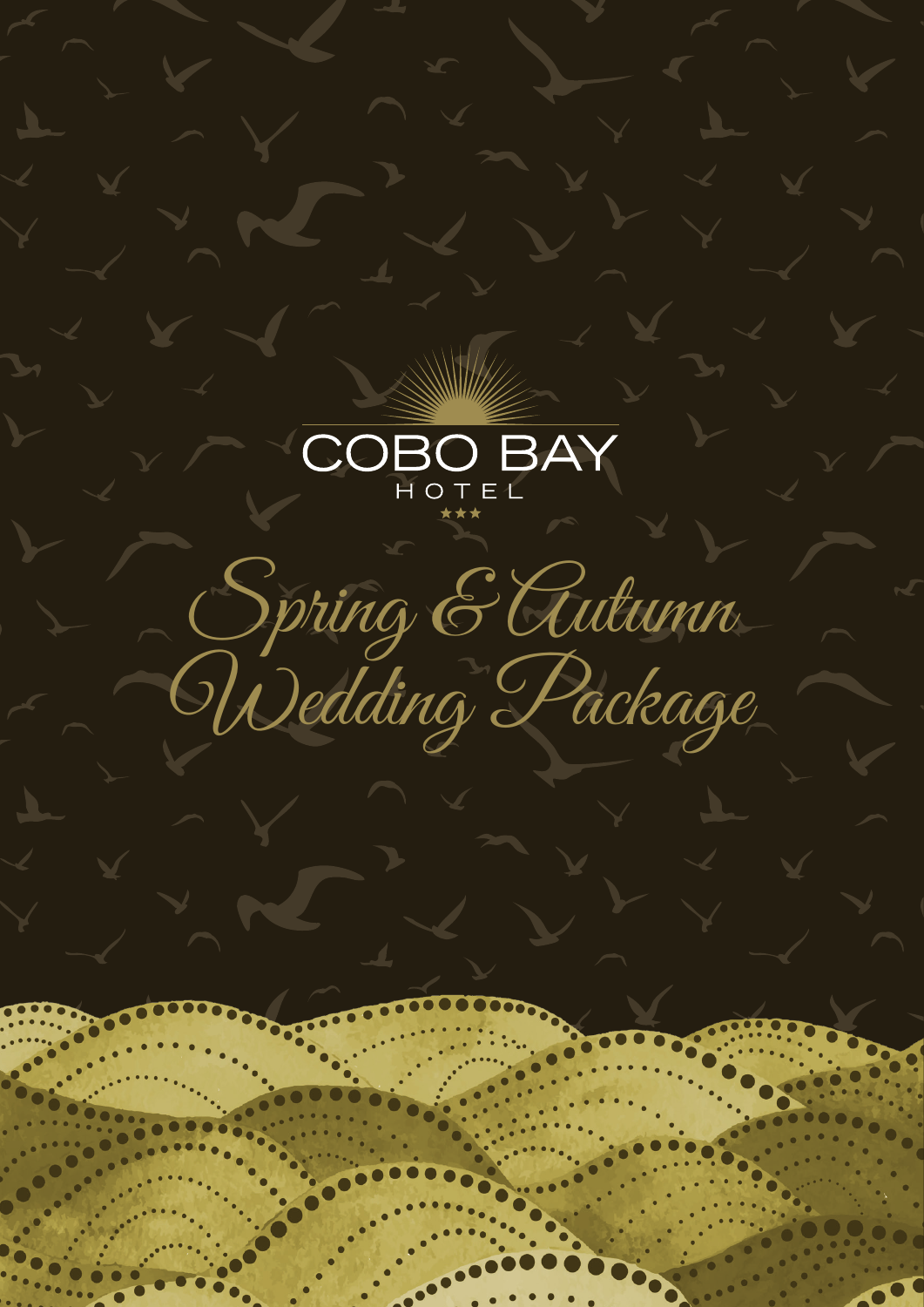

Spring & Autumn Wedding Package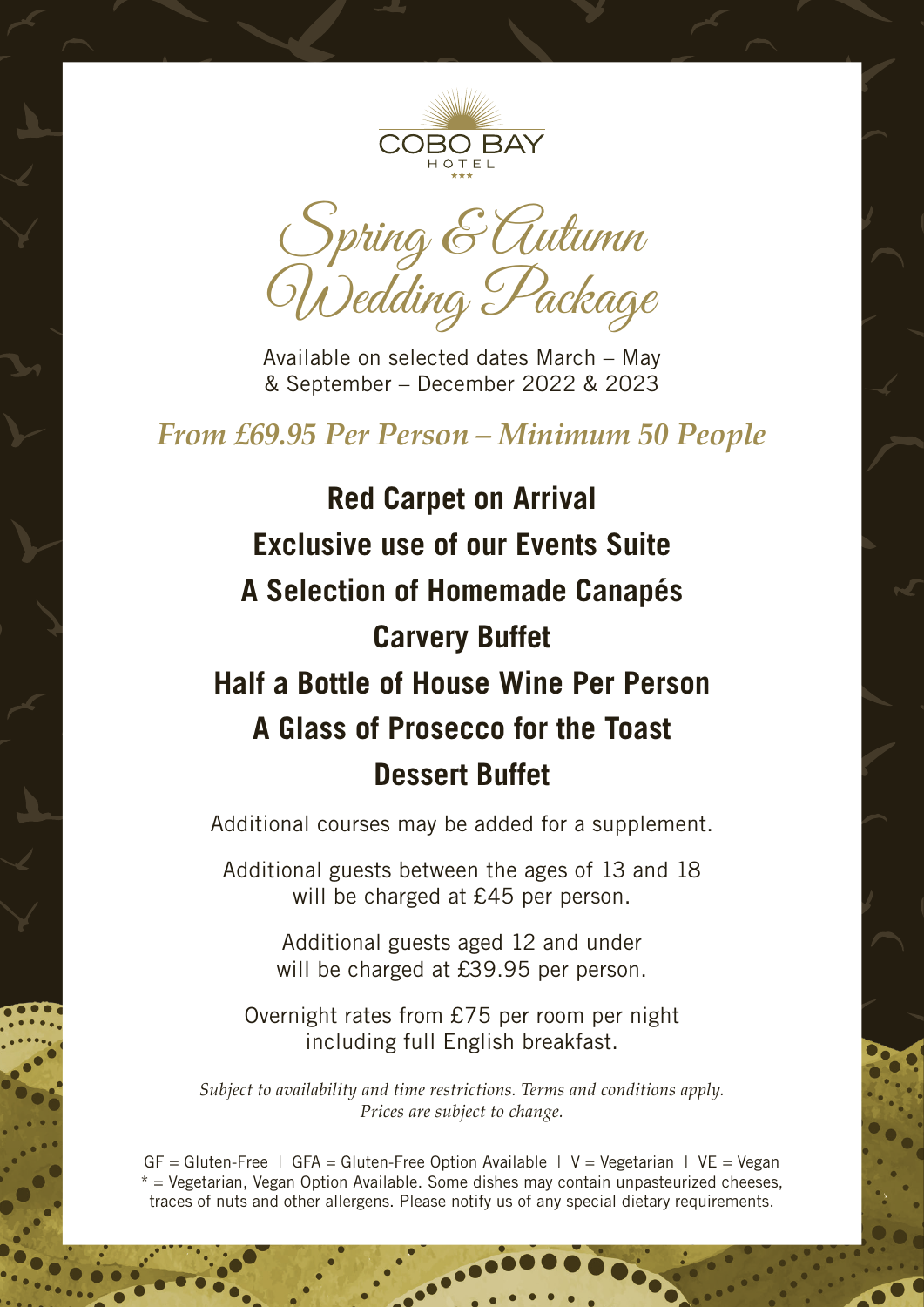

Spring & Autumn Wedding Package

Available on selected dates March – May & September – December 2022 & 2023

# *From £69.95 Per Person – Minimum 50 People*

**Red Carpet on Arrival Exclusive use of our Events Suite A Selection of Homemade Canapés Carvery Buffet Half a Bottle of House Wine Per Person A Glass of Prosecco for the Toast Dessert Buffet**

Additional courses may be added for a supplement.

Additional guests between the ages of 13 and 18 will be charged at £45 per person.

> Additional guests aged 12 and under will be charged at £39.95 per person.

Overnight rates from £75 per room per night including full English breakfast.

*Subject to availability and time restrictions. Terms and conditions apply. Prices are subject to change.*

 $GF = Gluten-Free \mid GFA = Gluten-Free \text{Option} \text{ Available} \mid V = Vegetarian \mid VE = Vegan$  $*$  = Vegetarian, Vegan Option Available. Some dishes may contain unpasteurized cheeses, traces of nuts and other allergens. Please notify us of any special dietary requirements.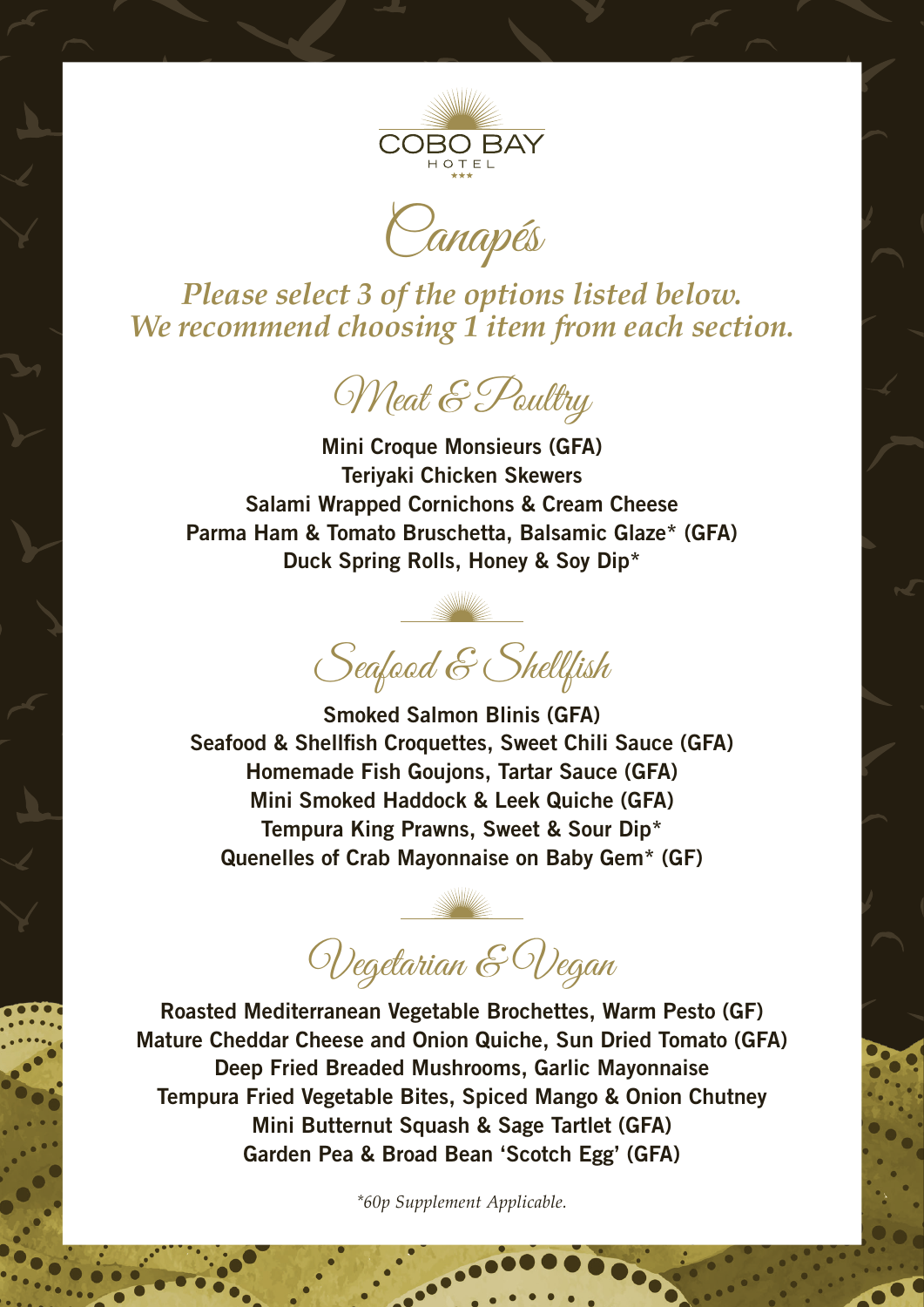

Canapés

*Please select 3 of the options listed below. We recommend choosing 1 item from each section.*

Meat & Poultry

**Mini Croque Monsieurs (GFA) Teriyaki Chicken Skewers Salami Wrapped Cornichons & Cream Cheese Parma Ham & Tomato Bruschetta, Balsamic Glaze\* (GFA) Duck Spring Rolls, Honey & Soy Dip\***

Seafood & Shellfish

**Smoked Salmon Blinis (GFA) Seafood & Shellfish Croquettes, Sweet Chili Sauce (GFA) Homemade Fish Goujons, Tartar Sauce (GFA) Mini Smoked Haddock & Leek Quiche (GFA) Tempura King Prawns, Sweet & Sour Dip\* Quenelles of Crab Mayonnaise on Baby Gem\* (GF)**

Vegetarian & Vegan

**Roasted Mediterranean Vegetable Brochettes, Warm Pesto (GF) Mature Cheddar Cheese and Onion Quiche, Sun Dried Tomato (GFA) Deep Fried Breaded Mushrooms, Garlic Mayonnaise Tempura Fried Vegetable Bites, Spiced Mango & Onion Chutney Mini Butternut Squash & Sage Tartlet (GFA) Garden Pea & Broad Bean 'Scotch Egg' (GFA)**

*\*60p Supplement Applicable.*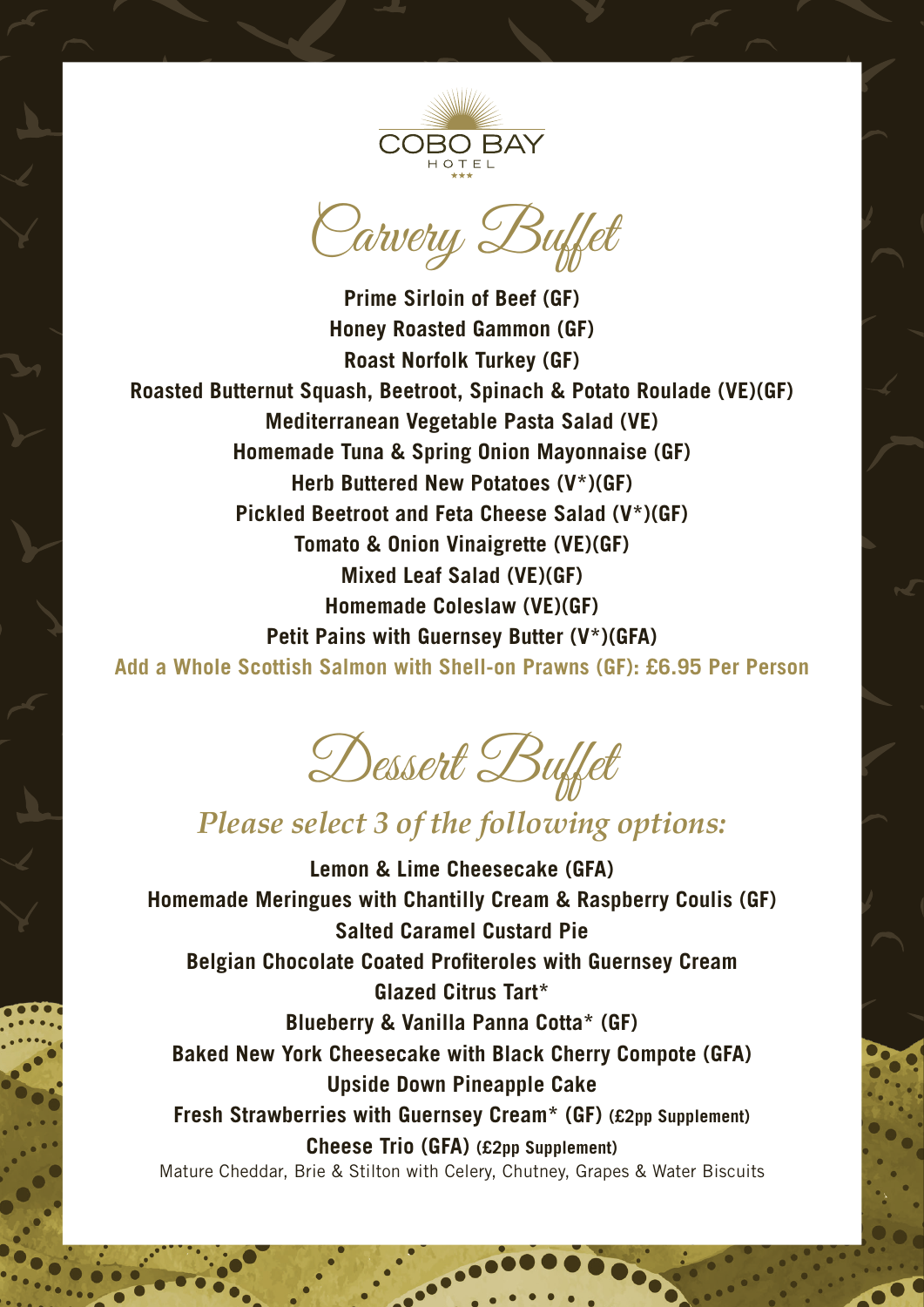

Carvery Buffet

**Prime Sirloin of Beef (GF) Honey Roasted Gammon (GF) Roast Norfolk Turkey (GF) Roasted Butternut Squash, Beetroot, Spinach & Potato Roulade (VE)(GF) Mediterranean Vegetable Pasta Salad (VE) Homemade Tuna & Spring Onion Mayonnaise (GF) Herb Buttered New Potatoes (V\*)(GF) Pickled Beetroot and Feta Cheese Salad (V\*)(GF) Tomato & Onion Vinaigrette (VE)(GF) Mixed Leaf Salad (VE)(GF) Homemade Coleslaw (VE)(GF) Petit Pains with Guernsey Butter (V\*)(GFA)**

**Add a Whole Scottish Salmon with Shell-on Prawns (GF): £6.95 Per Person**

Dessert Buffet

# *Please select 3 of the following options:*

**Lemon & Lime Cheesecake (GFA) Homemade Meringues with Chantilly Cream & Raspberry Coulis (GF) Salted Caramel Custard Pie Belgian Chocolate Coated Profiteroles with Guernsey Cream Glazed Citrus Tart\* Blueberry & Vanilla Panna Cotta\* (GF) Baked New York Cheesecake with Black Cherry Compote (GFA) Upside Down Pineapple Cake Fresh Strawberries with Guernsey Cream\* (GF) (£2pp Supplement) Cheese Trio (GFA) (£2pp Supplement)** Mature Cheddar, Brie & Stilton with Celery, Chutney, Grapes & Water Biscuits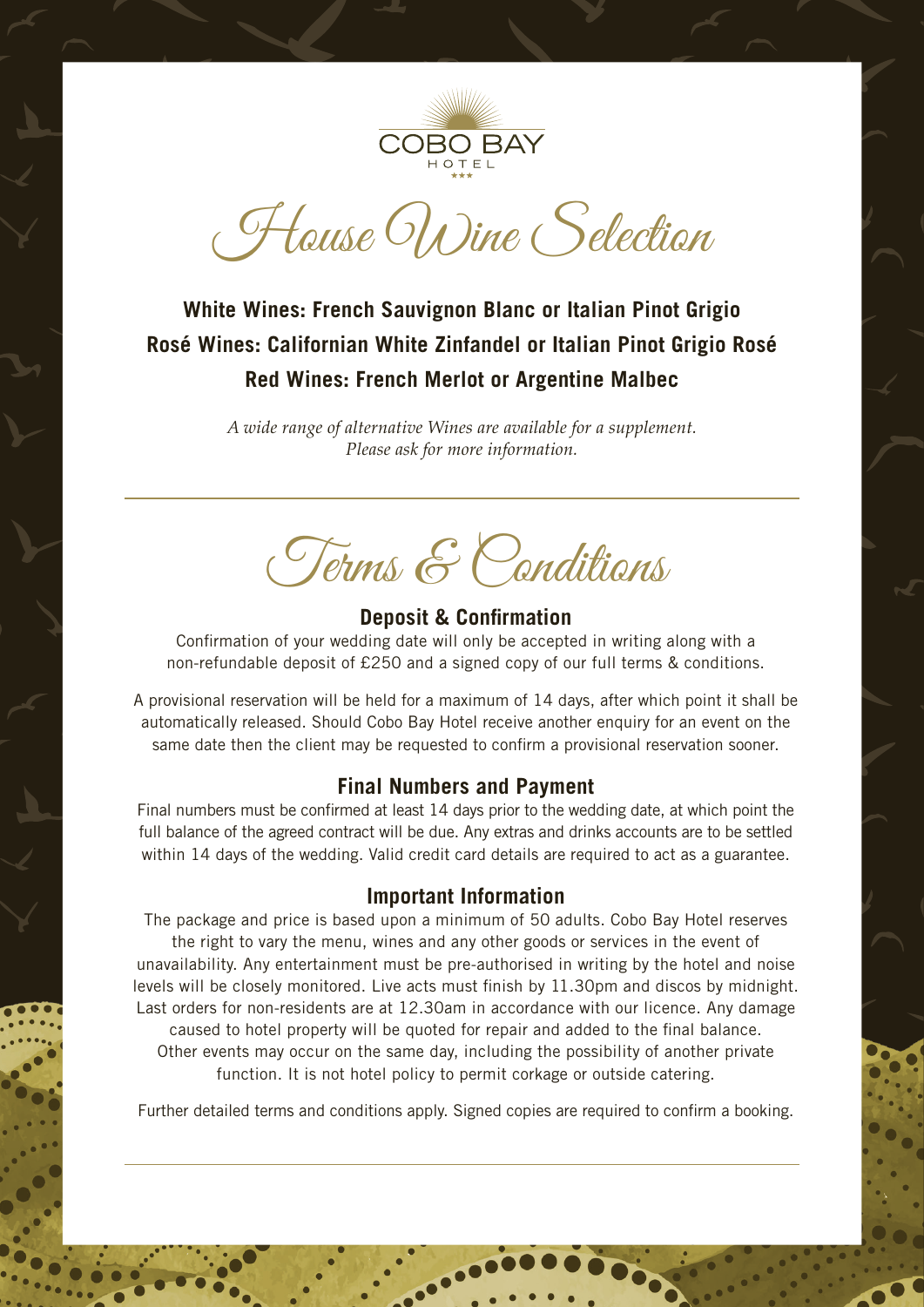

House Wine Selection

## **White Wines: French Sauvignon Blanc or Italian Pinot Grigio Rosé Wines: Californian White Zinfandel or Italian Pinot Grigio Rosé Red Wines: French Merlot or Argentine Malbec**

*A wide range of alternative Wines are available for a supplement. Please ask for more information.*

Terms & Conditions

## **Deposit & Confirmation**

Confirmation of your wedding date will only be accepted in writing along with a non-refundable deposit of £250 and a signed copy of our full terms & conditions.

A provisional reservation will be held for a maximum of 14 days, after which point it shall be automatically released. Should Cobo Bay Hotel receive another enquiry for an event on the same date then the client may be requested to confirm a provisional reservation sooner.

### **Final Numbers and Payment**

Final numbers must be confirmed at least 14 days prior to the wedding date, at which point the full balance of the agreed contract will be due. Any extras and drinks accounts are to be settled within 14 days of the wedding. Valid credit card details are required to act as a guarantee.

#### **Important Information**

The package and price is based upon a minimum of 50 adults. Cobo Bay Hotel reserves the right to vary the menu, wines and any other goods or services in the event of unavailability. Any entertainment must be pre-authorised in writing by the hotel and noise levels will be closely monitored. Live acts must finish by 11.30pm and discos by midnight. Last orders for non-residents are at 12.30am in accordance with our licence. Any damage caused to hotel property will be quoted for repair and added to the final balance. Other events may occur on the same day, including the possibility of another private function. It is not hotel policy to permit corkage or outside catering.

Further detailed terms and conditions apply. Signed copies are required to confirm a booking.